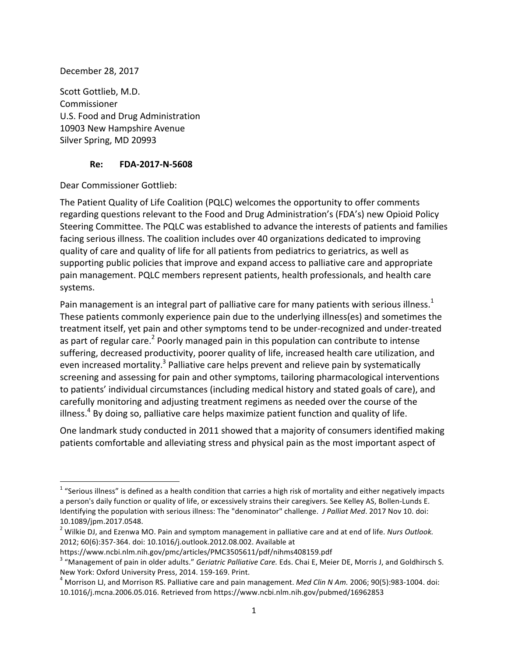December 28, 2017

Scott Gottlieb, M.D. Commissioner U.S. Food and Drug Administration 10903 New Hampshire Avenue Silver Spring, MD 20993

#### **Re: FDA-2017-N-5608**

Dear Commissioner Gottlieb:

 

The Patient Quality of Life Coalition (PQLC) welcomes the opportunity to offer comments regarding questions relevant to the Food and Drug Administration's (FDA's) new Opioid Policy Steering Committee. The PQLC was established to advance the interests of patients and families facing serious illness. The coalition includes over 40 organizations dedicated to improving quality of care and quality of life for all patients from pediatrics to geriatrics, as well as supporting public policies that improve and expand access to palliative care and appropriate pain management. PQLC members represent patients, health professionals, and health care systems.

Pain management is an integral part of palliative care for many patients with serious illness.<sup>1</sup> These patients commonly experience pain due to the underlying illness(es) and sometimes the treatment itself, yet pain and other symptoms tend to be under-recognized and under-treated as part of regular care.<sup>2</sup> Poorly managed pain in this population can contribute to intense suffering, decreased productivity, poorer quality of life, increased health care utilization, and even increased mortality.<sup>3</sup> Palliative care helps prevent and relieve pain by systematically screening and assessing for pain and other symptoms, tailoring pharmacological interventions to patients' individual circumstances (including medical history and stated goals of care), and carefully monitoring and adjusting treatment regimens as needed over the course of the illness.<sup>4</sup> By doing so, palliative care helps maximize patient function and quality of life.

One landmark study conducted in 2011 showed that a majority of consumers identified making patients comfortable and alleviating stress and physical pain as the most important aspect of

 $1$  "Serious illness" is defined as a health condition that carries a high risk of mortality and either negatively impacts a person's daily function or quality of life, or excessively strains their caregivers. See Kelley AS, Bollen-Lunds E. Identifying the population with serious illness: The "denominator" challenge. *J Palliat Med*. 2017 Nov 10. doi: 10.1089/jpm.2017.0548.

<sup>&</sup>lt;sup>2</sup> Wilkie DJ, and Ezenwa MO. Pain and symptom management in palliative care and at end of life. *Nurs Outlook.* 2012; 60(6):357-364. doi: 10.1016/j.outlook.2012.08.002. Available at

https://www.ncbi.nlm.nih.gov/pmc/articles/PMC3505611/pdf/nihms408159.pdf

<sup>&</sup>lt;sup>3</sup> "Management of pain in older adults." *Geriatric Palliative Care.* Eds. Chai E, Meier DE, Morris J, and Goldhirsch S.

New York: Oxford University Press, 2014. 159-169. Print.<br><sup>4</sup> Morrison LJ, and Morrison RS. Palliative care and pain management. *Med Clin N Am.* 2006; 90(5):983-1004. doi: 10.1016/j.mcna.2006.05.016. Retrieved from https://www.ncbi.nlm.nih.gov/pubmed/16962853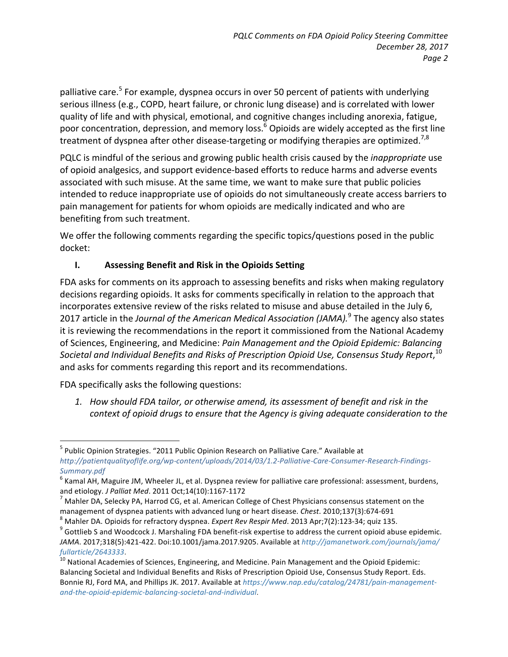palliative care.<sup>5</sup> For example, dyspnea occurs in over 50 percent of patients with underlying serious illness (e.g., COPD, heart failure, or chronic lung disease) and is correlated with lower quality of life and with physical, emotional, and cognitive changes including anorexia, fatigue, poor concentration, depression, and memory loss.<sup>6</sup> Opioids are widely accepted as the first line treatment of dyspnea after other disease-targeting or modifying therapies are optimized.<sup>7,8</sup>

PQLC is mindful of the serious and growing public health crisis caused by the *inappropriate* use of opioid analgesics, and support evidence-based efforts to reduce harms and adverse events associated with such misuse. At the same time, we want to make sure that public policies intended to reduce inappropriate use of opioids do not simultaneously create access barriers to pain management for patients for whom opioids are medically indicated and who are benefiting from such treatment.

We offer the following comments regarding the specific topics/questions posed in the public docket:

# **I. Assessing Benefit and Risk in the Opioids Setting**

FDA asks for comments on its approach to assessing benefits and risks when making regulatory decisions regarding opioids. It asks for comments specifically in relation to the approach that incorporates extensive review of the risks related to misuse and abuse detailed in the July 6, 2017 article in the *Journal of the American Medical Association (JAMA).*<sup>9</sup> The agency also states it is reviewing the recommendations in the report it commissioned from the National Academy of Sciences, Engineering, and Medicine: *Pain Management and the Opioid Epidemic: Balancing Societal and Individual Benefits and Risks of Prescription Opioid Use, Consensus Study Report*, 10 and asks for comments regarding this report and its recommendations.

FDA specifically asks the following questions:

<u> Andrew Maria (1989)</u>

1. How should FDA tailor, or otherwise amend, its assessment of benefit and risk in the *context of opioid drugs to ensure that the Agency is giving adequate consideration to the* 

 $5$  Public Opinion Strategies. "2011 Public Opinion Research on Palliative Care." Available at *http://patientqualityoflife.org/wp-content/uploads/2014/03/1.2-Palliative-Care-Consumer-Research-Findings-Summary.pdf*

 $^6$  Kamal AH, Maguire JM, Wheeler JL, et al. Dyspnea review for palliative care professional: assessment, burdens, and etiology. *J Palliat Med*. 2011 Oct;14(10):1167-1172<br><sup>7</sup> Mahler DA, Selecky PA, Harrod CG, et al. American College of Chest Physicians consensus statement on the

management of dyspnea patients with advanced lung or heart disease. Chest. 2010;137(3):674-691<br>
<sup>8</sup> Mahler DA. Opioids for refractory dyspnea. Expert Rev Respir Med. 2013 Apr;7(2):123-34; quiz 135.<br>
<sup>9</sup> Gottlieb S and Wood

*JAMA*. 2017;318(5):421-422. Doi:10.1001/jama.2017.9205. Available at *http://jamanetwork.com/journals/jama/*

*fullarticle/2643333.*<br><sup>10</sup> National Academies of Sciences, Engineering, and Medicine. Pain Management and the Opioid Epidemic: Balancing Societal and Individual Benefits and Risks of Prescription Opioid Use, Consensus Study Report. Eds. Bonnie RJ, Ford MA, and Phillips JK. 2017. Available at https://www.nap.edu/catalog/24781/pain-management*and-the-opioid-epidemic-balancing-societal-and-individual*.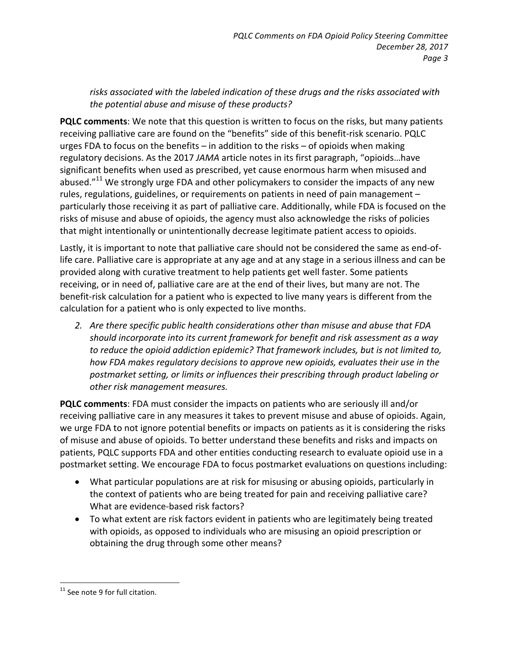risks associated with the labeled indication of these drugs and the risks associated with the potential abuse and misuse of these products?

**PQLC comments:** We note that this question is written to focus on the risks, but many patients receiving palliative care are found on the "benefits" side of this benefit-risk scenario. PQLC urges FDA to focus on the benefits  $-$  in addition to the risks  $-$  of opioids when making regulatory decisions. As the 2017 JAMA article notes in its first paragraph, "opioids...have significant benefits when used as prescribed, yet cause enormous harm when misused and abused. $"^{11}$  We strongly urge FDA and other policymakers to consider the impacts of any new rules, regulations, guidelines, or requirements on patients in need of pain management particularly those receiving it as part of palliative care. Additionally, while FDA is focused on the risks of misuse and abuse of opioids, the agency must also acknowledge the risks of policies that might intentionally or unintentionally decrease legitimate patient access to opioids.

Lastly, it is important to note that palliative care should not be considered the same as end-oflife care. Palliative care is appropriate at any age and at any stage in a serious illness and can be provided along with curative treatment to help patients get well faster. Some patients receiving, or in need of, palliative care are at the end of their lives, but many are not. The benefit-risk calculation for a patient who is expected to live many years is different from the calculation for a patient who is only expected to live months.

2. Are there specific public health considerations other than misuse and abuse that FDA should incorporate into its current framework for benefit and risk assessment as a way to reduce the opioid addiction epidemic? That framework includes, but is not limited to, *how* FDA makes regulatory decisions to approve new opioids, evaluates their use in the postmarket setting, or limits or influences their prescribing through product labeling or *other risk management measures.*

**PQLC comments**: FDA must consider the impacts on patients who are seriously ill and/or receiving palliative care in any measures it takes to prevent misuse and abuse of opioids. Again, we urge FDA to not ignore potential benefits or impacts on patients as it is considering the risks of misuse and abuse of opioids. To better understand these benefits and risks and impacts on patients, PQLC supports FDA and other entities conducting research to evaluate opioid use in a postmarket setting. We encourage FDA to focus postmarket evaluations on questions including:

- What particular populations are at risk for misusing or abusing opioids, particularly in the context of patients who are being treated for pain and receiving palliative care? What are evidence-based risk factors?
- To what extent are risk factors evident in patients who are legitimately being treated with opioids, as opposed to individuals who are misusing an opioid prescription or obtaining the drug through some other means?

<sup>&</sup>lt;u> Andrew Maria (1989)</u>  $11$  See note 9 for full citation.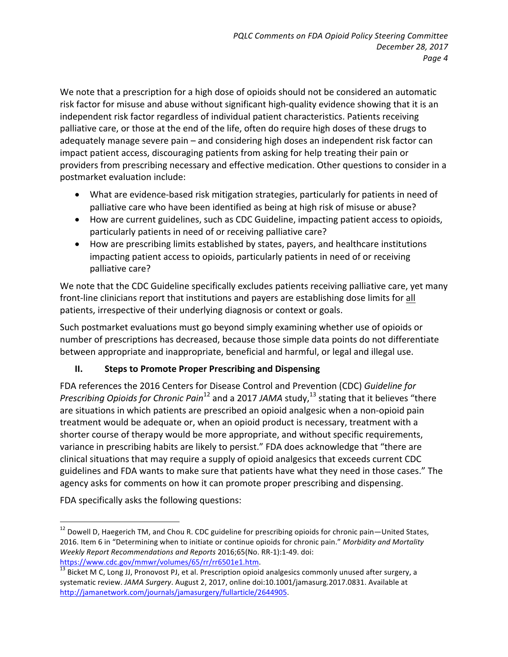We note that a prescription for a high dose of opioids should not be considered an automatic risk factor for misuse and abuse without significant high-quality evidence showing that it is an independent risk factor regardless of individual patient characteristics. Patients receiving palliative care, or those at the end of the life, often do require high doses of these drugs to adequately manage severe pain – and considering high doses an independent risk factor can impact patient access, discouraging patients from asking for help treating their pain or providers from prescribing necessary and effective medication. Other questions to consider in a postmarket evaluation include:

- What are evidence-based risk mitigation strategies, particularly for patients in need of palliative care who have been identified as being at high risk of misuse or abuse?
- How are current guidelines, such as CDC Guideline, impacting patient access to opioids, particularly patients in need of or receiving palliative care?
- How are prescribing limits established by states, payers, and healthcare institutions impacting patient access to opioids, particularly patients in need of or receiving palliative care?

We note that the CDC Guideline specifically excludes patients receiving palliative care, yet many front-line clinicians report that institutions and payers are establishing dose limits for all patients, irrespective of their underlying diagnosis or context or goals.

Such postmarket evaluations must go beyond simply examining whether use of opioids or number of prescriptions has decreased, because those simple data points do not differentiate between appropriate and inappropriate, beneficial and harmful, or legal and illegal use.

## **II.** Steps to Promote Proper Prescribing and Dispensing

FDA references the 2016 Centers for Disease Control and Prevention (CDC) Guideline for *Prescribing Opioids for Chronic Pain*<sup>12</sup> and a 2017 *JAMA* study,<sup>13</sup> stating that it believes "there are situations in which patients are prescribed an opioid analgesic when a non-opioid pain treatment would be adequate or, when an opioid product is necessary, treatment with a shorter course of therapy would be more appropriate, and without specific requirements, variance in prescribing habits are likely to persist." FDA does acknowledge that "there are clinical situations that may require a supply of opioid analgesics that exceeds current CDC guidelines and FDA wants to make sure that patients have what they need in those cases." The agency asks for comments on how it can promote proper prescribing and dispensing.

FDA specifically asks the following questions:

 $12$  Dowell D, Haegerich TM, and Chou R. CDC guideline for prescribing opioids for chronic pain—United States, 2016. Item 6 in "Determining when to initiate or continue opioids for chronic pain." Morbidity and Mortality *Weekly Report Recommendations and Reports* 2016;65(No. RR-1):1-49. doi: 

https://www.cdc.gov/mmwr/volumes/65/rr/rr6501e1.htm.<br> $\frac{13}{13}$  Bicket M C, Long JJ, Pronovost PJ, et al. Prescription opioid analgesics commonly unused after surgery, a systematic review. JAMA Surgery. August 2, 2017, online doi:10.1001/jamasurg.2017.0831. Available at http://jamanetwork.com/journals/jamasurgery/fullarticle/2644905.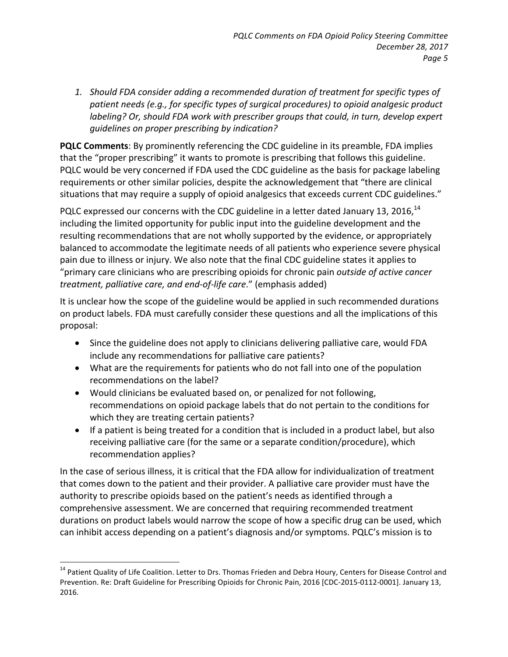1. Should FDA consider adding a recommended duration of treatment for specific types of patient needs (e.g., for specific types of surgical procedures) to opioid analgesic product *labeling?* Or, should FDA work with prescriber groups that could, in turn, develop expert *guidelines on proper prescribing by indication?*

**PQLC Comments:** By prominently referencing the CDC guideline in its preamble, FDA implies that the "proper prescribing" it wants to promote is prescribing that follows this guideline. PQLC would be very concerned if FDA used the CDC guideline as the basis for package labeling requirements or other similar policies, despite the acknowledgement that "there are clinical situations that may require a supply of opioid analgesics that exceeds current CDC guidelines."

PQLC expressed our concerns with the CDC guideline in a letter dated January 13, 2016,  $^{14}$ including the limited opportunity for public input into the guideline development and the resulting recommendations that are not wholly supported by the evidence, or appropriately balanced to accommodate the legitimate needs of all patients who experience severe physical pain due to illness or injury. We also note that the final CDC guideline states it applies to "primary care clinicians who are prescribing opioids for chronic pain *outside of active cancer treatment, palliative care, and end-of-life care.*" (emphasis added)

It is unclear how the scope of the guideline would be applied in such recommended durations on product labels. FDA must carefully consider these questions and all the implications of this proposal: 

- Since the guideline does not apply to clinicians delivering palliative care, would FDA include any recommendations for palliative care patients?
- What are the requirements for patients who do not fall into one of the population recommendations on the label?
- Would clinicians be evaluated based on, or penalized for not following, recommendations on opioid package labels that do not pertain to the conditions for which they are treating certain patients?
- If a patient is being treated for a condition that is included in a product label, but also receiving palliative care (for the same or a separate condition/procedure), which recommendation applies?

In the case of serious illness, it is critical that the FDA allow for individualization of treatment that comes down to the patient and their provider. A palliative care provider must have the authority to prescribe opioids based on the patient's needs as identified through a comprehensive assessment. We are concerned that requiring recommended treatment durations on product labels would narrow the scope of how a specific drug can be used, which can inhibit access depending on a patient's diagnosis and/or symptoms. PQLC's mission is to

 $14$  Patient Quality of Life Coalition. Letter to Drs. Thomas Frieden and Debra Houry, Centers for Disease Control and Prevention. Re: Draft Guideline for Prescribing Opioids for Chronic Pain, 2016 [CDC-2015-0112-0001]. January 13, 2016.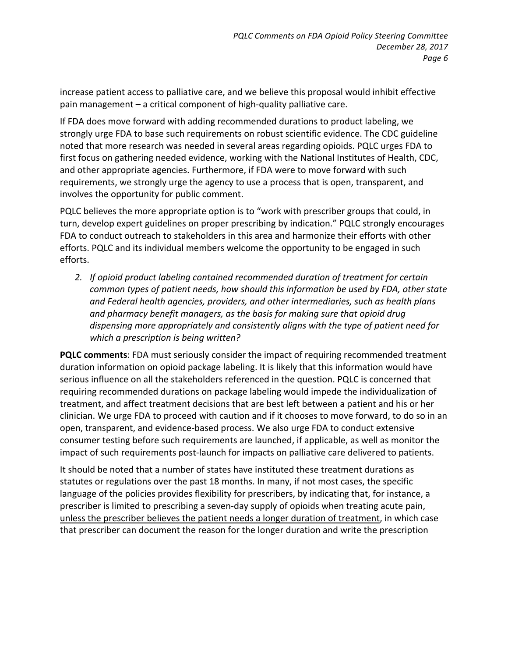increase patient access to palliative care, and we believe this proposal would inhibit effective pain management - a critical component of high-quality palliative care.

If FDA does move forward with adding recommended durations to product labeling, we strongly urge FDA to base such requirements on robust scientific evidence. The CDC guideline noted that more research was needed in several areas regarding opioids. PQLC urges FDA to first focus on gathering needed evidence, working with the National Institutes of Health, CDC, and other appropriate agencies. Furthermore, if FDA were to move forward with such requirements, we strongly urge the agency to use a process that is open, transparent, and involves the opportunity for public comment.

PQLC believes the more appropriate option is to "work with prescriber groups that could, in turn, develop expert guidelines on proper prescribing by indication." PQLC strongly encourages FDA to conduct outreach to stakeholders in this area and harmonize their efforts with other efforts. PQLC and its individual members welcome the opportunity to be engaged in such efforts. 

2. If opioid product labeling contained recommended duration of treatment for certain *common types of patient needs, how should this information be used by FDA, other state* and Federal health agencies, providers, and other intermediaries, such as health plans and pharmacy benefit managers, as the basis for making sure that opioid drug dispensing more appropriately and consistently aligns with the type of patient need for *which a prescription is being written?*

**PQLC comments:** FDA must seriously consider the impact of requiring recommended treatment duration information on opioid package labeling. It is likely that this information would have serious influence on all the stakeholders referenced in the question. PQLC is concerned that requiring recommended durations on package labeling would impede the individualization of treatment, and affect treatment decisions that are best left between a patient and his or her clinician. We urge FDA to proceed with caution and if it chooses to move forward, to do so in an open, transparent, and evidence-based process. We also urge FDA to conduct extensive consumer testing before such requirements are launched, if applicable, as well as monitor the impact of such requirements post-launch for impacts on palliative care delivered to patients.

It should be noted that a number of states have instituted these treatment durations as statutes or regulations over the past 18 months. In many, if not most cases, the specific language of the policies provides flexibility for prescribers, by indicating that, for instance, a prescriber is limited to prescribing a seven-day supply of opioids when treating acute pain, unless the prescriber believes the patient needs a longer duration of treatment, in which case that prescriber can document the reason for the longer duration and write the prescription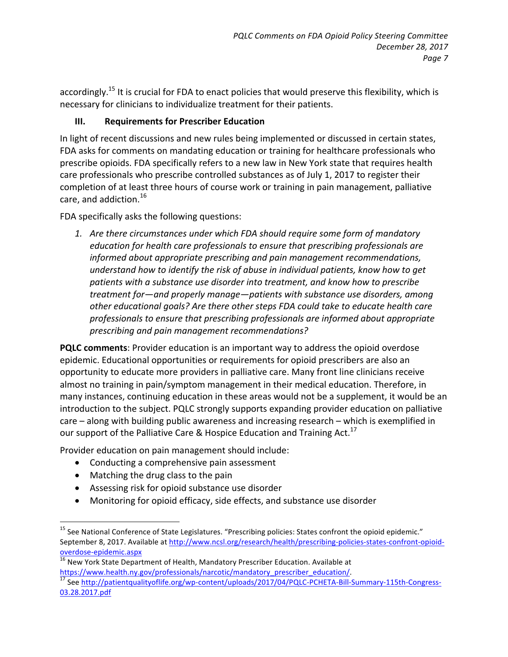accordingly.<sup>15</sup> It is crucial for FDA to enact policies that would preserve this flexibility, which is necessary for clinicians to individualize treatment for their patients.

#### **III.** Requirements for Prescriber Education

In light of recent discussions and new rules being implemented or discussed in certain states, FDA asks for comments on mandating education or training for healthcare professionals who prescribe opioids. FDA specifically refers to a new law in New York state that requires health care professionals who prescribe controlled substances as of July 1, 2017 to register their completion of at least three hours of course work or training in pain management, palliative care, and addiction. $^{16}$ 

FDA specifically asks the following questions:

1. Are there circumstances under which FDA should require some form of mandatory education for health care professionals to ensure that prescribing professionals are *informed about appropriate prescribing and pain management recommendations,* understand how to identify the risk of abuse in individual patients, know how to get patients with a substance use disorder into treatment, and know how to prescribe treatment for—and properly manage—patients with substance use disorders, among other educational goals? Are there other steps FDA could take to educate health care *professionals to ensure that prescribing professionals are informed about appropriate prescribing and pain management recommendations?*

**PQLC comments:** Provider education is an important way to address the opioid overdose epidemic. Educational opportunities or requirements for opioid prescribers are also an opportunity to educate more providers in palliative care. Many front line clinicians receive almost no training in pain/symptom management in their medical education. Therefore, in many instances, continuing education in these areas would not be a supplement, it would be an introduction to the subject. PQLC strongly supports expanding provider education on palliative  $care$  – along with building public awareness and increasing research – which is exemplified in our support of the Palliative Care & Hospice Education and Training Act.<sup>17</sup>

Provider education on pain management should include:

- Conducting a comprehensive pain assessment
- $\bullet$  Matching the drug class to the pain

- Assessing risk for opioid substance use disorder
- Monitoring for opioid efficacy, side effects, and substance use disorder

 $^{15}$  See National Conference of State Legislatures. "Prescribing policies: States confront the opioid epidemic." September 8, 2017. Available at http://www.ncsl.org/research/health/prescribing-policies-states-confront-opioidoverdose-epidemic.aspx<br><sup>16</sup> New York State Department of Health, Mandatory Prescriber Education. Available at

https://www.health.ny.gov/professionals/narcotic/mandatory\_prescriber\_education/.<br><sup>17</sup> See http://patientqualityoflife.org/wp-content/uploads/2017/04/PQLC-PCHETA-Bill-Summary-115th-Congress-

<sup>03.28.2017.</sup>pdf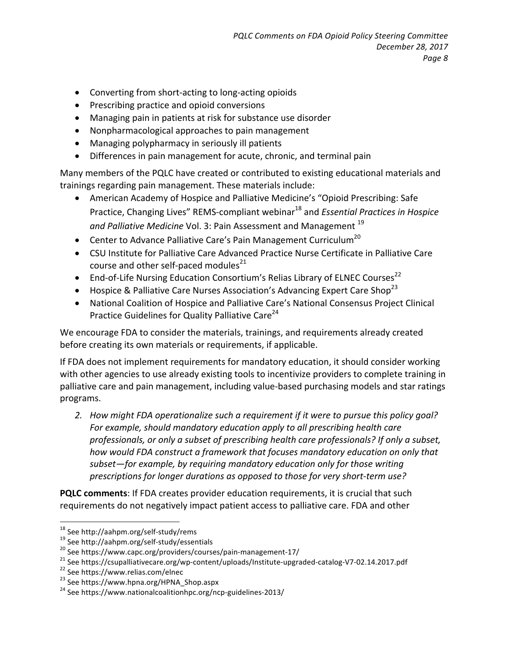- Converting from short-acting to long-acting opioids
- Prescribing practice and opioid conversions
- Managing pain in patients at risk for substance use disorder
- Nonpharmacological approaches to pain management
- Managing polypharmacy in seriously ill patients
- Differences in pain management for acute, chronic, and terminal pain

Many members of the PQLC have created or contributed to existing educational materials and trainings regarding pain management. These materials include:

- American Academy of Hospice and Palliative Medicine's "Opioid Prescribing: Safe Practice, Changing Lives" REMS-compliant webinar<sup>18</sup> and *Essential Practices in Hospice* and Palliative Medicine Vol. 3: Pain Assessment and Management<sup>19</sup>
- Center to Advance Palliative Care's Pain Management Curriculum<sup>20</sup>
- CSU Institute for Palliative Care Advanced Practice Nurse Certificate in Palliative Care course and other self-paced modules $^{21}$
- End-of-Life Nursing Education Consortium's Relias Library of ELNEC Courses<sup>22</sup>
- Hospice & Palliative Care Nurses Association's Advancing Expert Care Shop<sup>23</sup>
- National Coalition of Hospice and Palliative Care's National Consensus Project Clinical Practice Guidelines for Quality Palliative Care<sup>24</sup>

We encourage FDA to consider the materials, trainings, and requirements already created before creating its own materials or requirements, if applicable.

If FDA does not implement requirements for mandatory education, it should consider working with other agencies to use already existing tools to incentivize providers to complete training in palliative care and pain management, including value-based purchasing models and star ratings programs.

2. How might FDA operationalize such a requirement if it were to pursue this policy goal? For example, should mandatory education apply to all prescribing health care professionals, or only a subset of prescribing health care professionals? If only a subset, *how* would FDA construct a framework that focuses mandatory education on only that subset—for example, by requiring mandatory education only for those writing prescriptions for longer durations as opposed to those for very short-term use?

**PQLC comments:** If FDA creates provider education requirements, it is crucial that such requirements do not negatively impact patient access to palliative care. FDA and other

<sup>&</sup>lt;sup>18</sup> See http://aahpm.org/self-study/rems<br><sup>19</sup> See http://aahpm.org/self-study/essentials<br><sup>20</sup> See https://www.capc.org/providers/courses/pain-management-17/<br><sup>21</sup> See https://csupalliativecare.org/wp-content/uploads/Insti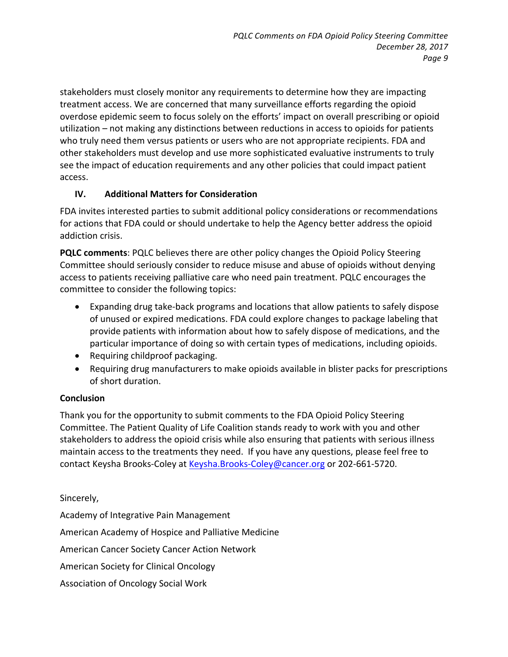stakeholders must closely monitor any requirements to determine how they are impacting treatment access. We are concerned that many surveillance efforts regarding the opioid overdose epidemic seem to focus solely on the efforts' impact on overall prescribing or opioid utilization – not making any distinctions between reductions in access to opioids for patients who truly need them versus patients or users who are not appropriate recipients. FDA and other stakeholders must develop and use more sophisticated evaluative instruments to truly see the impact of education requirements and any other policies that could impact patient access.

## **IV. Additional Matters for Consideration**

FDA invites interested parties to submit additional policy considerations or recommendations for actions that FDA could or should undertake to help the Agency better address the opioid addiction crisis.

**PQLC comments:** PQLC believes there are other policy changes the Opioid Policy Steering Committee should seriously consider to reduce misuse and abuse of opioids without denying access to patients receiving palliative care who need pain treatment. PQLC encourages the committee to consider the following topics:

- Expanding drug take-back programs and locations that allow patients to safely dispose of unused or expired medications. FDA could explore changes to package labeling that provide patients with information about how to safely dispose of medications, and the particular importance of doing so with certain types of medications, including opioids.
- Requiring childproof packaging.
- Requiring drug manufacturers to make opioids available in blister packs for prescriptions of short duration.

#### **Conclusion**

Thank you for the opportunity to submit comments to the FDA Opioid Policy Steering Committee. The Patient Quality of Life Coalition stands ready to work with you and other stakeholders to address the opioid crisis while also ensuring that patients with serious illness maintain access to the treatments they need. If you have any questions, please feel free to contact Keysha Brooks-Coley at Keysha.Brooks-Coley@cancer.org or 202-661-5720.

## Sincerely,

Academy of Integrative Pain Management American Academy of Hospice and Palliative Medicine American Cancer Society Cancer Action Network American Society for Clinical Oncology Association of Oncology Social Work